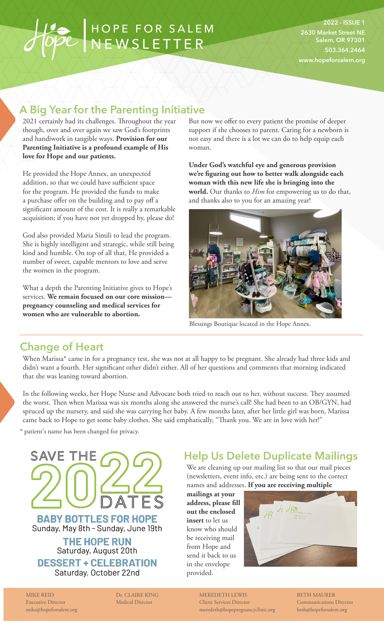# HOPE FOR SALEM NEWSLETTER

#### **A Big Year for the Parenting Initiative**

2021 certainly had its challenges. Throughout the year though, over and over again we saw God's footprints and handiwork in tangible ways. **Provision for our Parenting Initiative is a profound example of His love for Hope and our patients.**

He provided the Hope Annex, an unexpected addition, so that we could have sufficient space for the program. He provided the funds to make a purchase offer on the building and to pay off a significant amount of the cost. It is really a remarkable acquisition; if you have not yet dropped by, please do!

God also provided Maria Simili to lead the program. She is highly intelligent and strategic, while still being kind and humble. On top of all that, He provided a number of sweet, capable mentors to love and serve the women in the program.

What a depth the Parenting Initiative gives to Hope's services. **We remain focused on our core mission pregnancy counseling and medical services for women who are vulnerable to abortion.** 

But now we offer to every patient the promise of deeper support if she chooses to parent. Caring for a newborn is not easy and there is a lot we can do to help equip each woman.

**Under God's watchful eye and generous provision we're figuring out how to better walk alongside each woman with this new life she is bringing into the world.** Our thanks to *Him* for empowering us to do that, and thanks also to you for an amazing year!



Blessings Boutique located in the Hope Annex.

## **Change of Heart**

When Marissa\* came in for a pregnancy test, she was not at all happy to be pregnant. She already had three kids and didn't want a fourth. Her significant other didn't either. All of her questions and comments that morning indicated that she was leaning toward abortion.

In the following weeks, her Hope Nurse and Advocate both tried to reach out to her, without success. They assumed the worst. Then when Marissa was six months along she answered the nurse's call! She had been to an OB/GYN, had spruced up the nursery, and said she was carrying her baby. A few months later, after her little girl was born, Marissa came back to Hope to get some baby clothes. She said emphatically, "Thank you. We are in love with her!"

\* patient's name has been changed for privacy.



**THE HOPE RUN** Saturday, August 20th **DESSERT + CELEBRATION** Saturday, October 22nd

## **Help Us Delete Duplicate Mailings**

We are cleaning up our mailing list so that our mail pieces (newsletters, event info, etc.) are being sent to the correct names and addresses. **If you are receiving multiple** 

**mailings at your address, please fill out the enclosed insert** to let us know who should be receiving mail from Hope and send it back to us in the envelope provided.



MEREDETH LEWIS Client Services Director meredeth@hopepregnancyclinic.org BETH MAURER Communications Director beth@hopeforsalem.org

MIKE REID Executive Director mike@hopeforsalem.org Dr. CLAIRE KING Medical Director